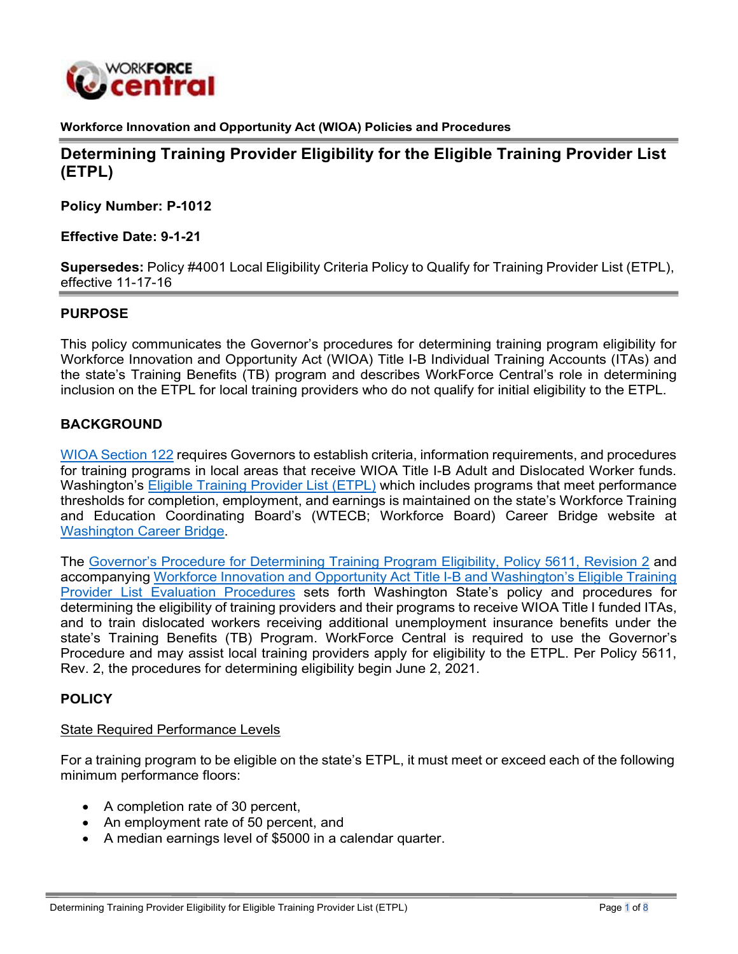

**Workforce Innovation and Opportunity Act (WIOA) Policies and Procedures**

**Determining Training Provider Eligibility for the Eligible Training Provider List (ETPL)**

**Policy Number: P-1012**

**Effective Date: 9-1-21**

**Supersedes:** Policy #4001 Local Eligibility Criteria Policy to Qualify for Training Provider List (ETPL), effective 11-17-16

## **PURPOSE**

This policy communicates the Governor's procedures for determining training program eligibility for Workforce Innovation and Opportunity Act (WIOA) Title I-B Individual Training Accounts (ITAs) and the state's Training Benefits (TB) program and describes WorkForce Central's role in determining inclusion on the ETPL for local training providers who do not qualify for initial eligibility to the ETPL.

## **BACKGROUND**

WIOA [Section](https://www.congress.gov/113/bills/hr803/BILLS-113hr803enr.pdf) 122 requires Governors to establish criteria, information requirements, and procedures for training programs in local areas that receive WIOA Title I-B Adult and Dislocated Worker funds. Washington's Eligible Training [Provider](https://www.careerbridge.wa.gov/Page.aspx?cid=Eligible_Training_Provider_List) List (ETPL) which includes programs that meet performance thresholds for completion, employment, and earnings is maintained on the state's Workforce Training and Education Coordinating Board's (WTECB; Workforce Board) Career Bridge website at Washington [Career Bridge.](https://www.careerbridge.wa.gov/)

The [Governor's Procedure for Determining Training Program Eligibility, Policy 5611, Revision 2](https://storemultisites.blob.core.windows.net/media/WPC/adm/policy/5611-2.pdf) and accompanying Workforce Innovation and Opportunity Act Title I-B and [Washington's](https://www.wtb.wa.gov/wp-content/uploads/2021/06/2021-ETP-State-Policy-final-060221.pdf) Eligible Training Provider List Evaluation [Procedures](https://www.wtb.wa.gov/wp-content/uploads/2021/06/2021-ETP-State-Policy-final-060221.pdf) sets forth Washington State's policy and procedures for determining the eligibility of training providers and their programs to receive WIOA Title I funded ITAs, and to train dislocated workers receiving additional unemployment insurance benefits under the state's Training Benefits (TB) Program. WorkForce Central is required to use the Governor's Procedure and may assist local training providers apply for eligibility to the ETPL. Per Policy 5611, Rev. 2, the procedures for determining eligibility begin June 2, 2021.

## **POLICY**

### State Required Performance Levels

For a training program to be eligible on the state's ETPL, it must meet or exceed each of the following minimum performance floors:

- A completion rate of 30 percent,
- An employment rate of 50 percent, and
- A median earnings level of \$5000 in a calendar quarter.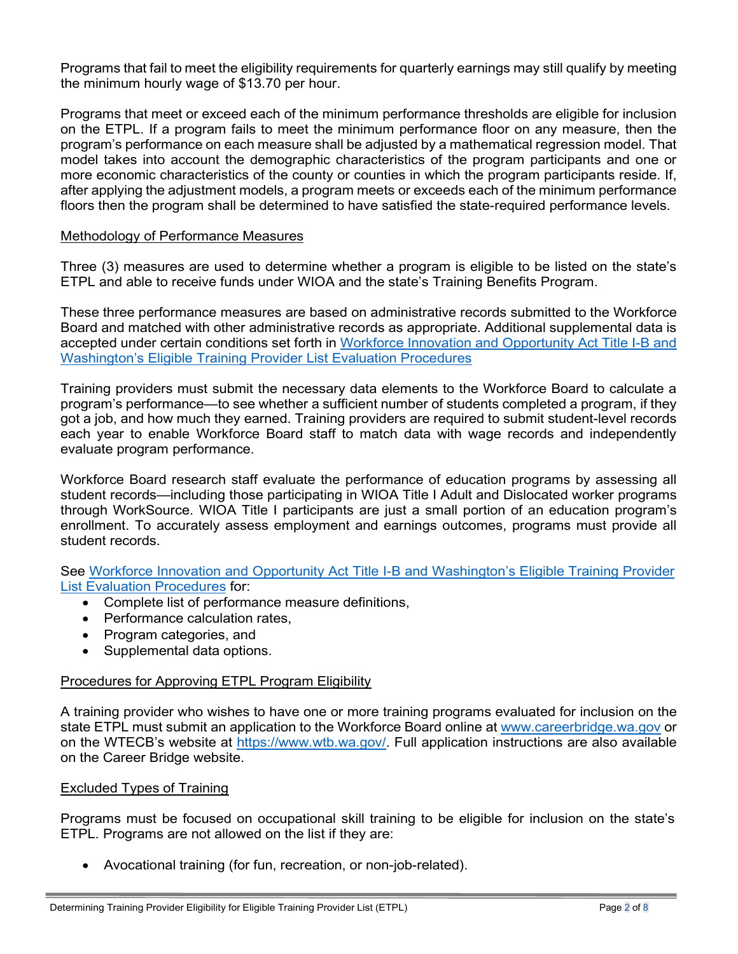Programs that fail to meet the eligibility requirements for quarterly earnings may still qualify by meeting the minimum hourly wage of \$13.70 per hour.

Programs that meet or exceed each of the minimum performance thresholds are eligible for inclusion on the ETPL. If a program fails to meet the minimum performance floor on any measure, then the program's performance on each measure shall be adjusted by a mathematical regression model. That model takes into account the demographic characteristics of the program participants and one or more economic characteristics of the county or counties in which the program participants reside. If, after applying the adjustment models, a program meets or exceeds each of the minimum performance floors then the program shall be determined to have satisfied the state-required performance levels.

## Methodology of Performance Measures

Three (3) measures are used to determine whether a program is eligible to be listed on the state's ETPL and able to receive funds under WIOA and the state's Training Benefits Program.

These three performance measures are based on administrative records submitted to the Workforce Board and matched with other administrative records as appropriate. Additional supplemental data is accepted under certain conditions set forth in Workforce Innovation and [Opportunity](https://www.wtb.wa.gov/wp-content/uploads/2021/06/2021-ETP-State-Policy-final-060221.pdf) Act Title I-B and Washington's Eligible Training [Provider List Evaluation Procedures](https://www.wtb.wa.gov/wp-content/uploads/2021/06/2021-ETP-State-Policy-final-060221.pdf)

Training providers must submit the necessary data elements to the Workforce Board to calculate a program's performance—to see whether a sufficient number of students completed a program, if they got a job, and how much they earned. Training providers are required to submit student-level records each year to enable Workforce Board staff to match data with wage records and independently evaluate program performance.

Workforce Board research staff evaluate the performance of education programs by assessing all student records—including those participating in WIOA Title I Adult and Dislocated worker programs through WorkSource. WIOA Title I participants are just a small portion of an education program's enrollment. To accurately assess employment and earnings outcomes, programs must provide all student records.

See Workforce Innovation and Opportunity Act Title I-B and [Washington's](https://www.wtb.wa.gov/wp-content/uploads/2021/06/2021-ETP-State-Policy-final-060221.pdf) Eligible Training Provider List [Evaluation Procedures](https://www.wtb.wa.gov/wp-content/uploads/2021/06/2021-ETP-State-Policy-final-060221.pdf) for:

- Complete list of performance measure definitions,
- Performance calculation rates.
- Program categories, and
- Supplemental data options.

## Procedures for Approving ETPL Program Eligibility

A training provider who wishes to have one or more training programs evaluated for inclusion on the state ETPL must submit an application to the Workforce Board online at [www.careerbridge.wa.gov](http://www.careerbridge.wa.gov/) or on the WTECB's website at [https://www.wtb.wa.gov/.](https://www.wtb.wa.gov/) Full application instructions are also available on the Career Bridge website.

### Excluded Types of Training

Programs must be focused on occupational skill training to be eligible for inclusion on the state's ETPL. Programs are not allowed on the list if they are:

• Avocational training (for fun, recreation, or non-job-related).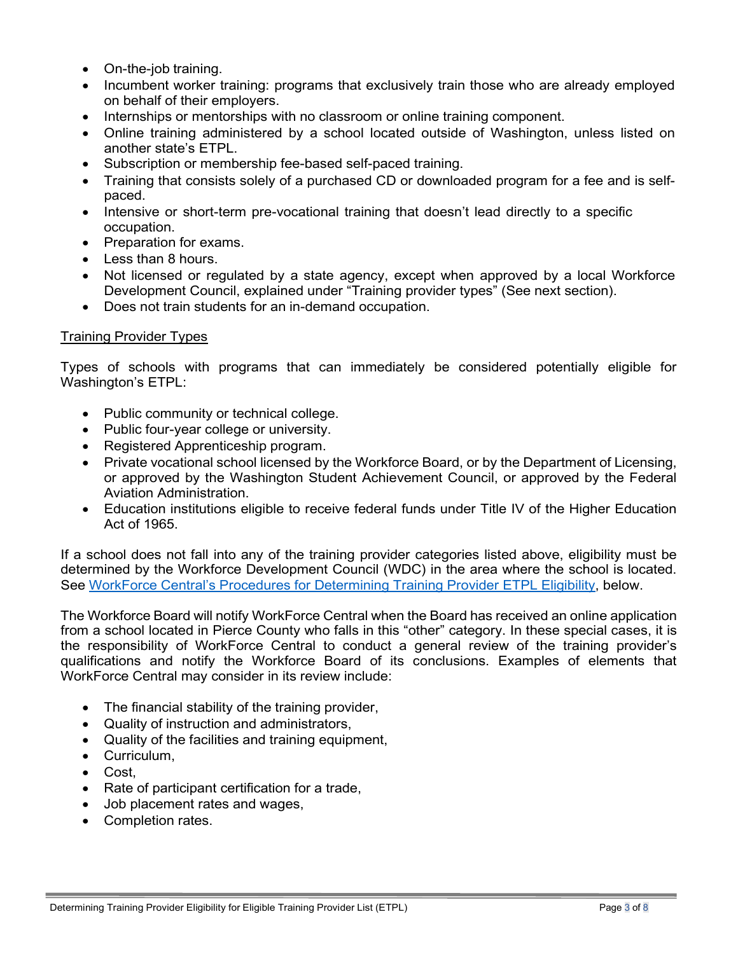- <span id="page-2-0"></span>• On-the-job training.
- Incumbent worker training: programs that exclusively train those who are already employed on behalf of their employers.
- Internships or mentorships with no classroom or online training component.
- Online training administered by a school located outside of Washington, unless listed on another state's ETPL.
- Subscription or membership fee-based self-paced training.
- Training that consists solely of a purchased CD or downloaded program for a fee and is selfpaced.
- Intensive or short-term pre-vocational training that doesn't lead directly to a specific occupation.
- Preparation for exams.
- Less than 8 hours.
- Not licensed or regulated by a state agency, except when approved by a local Workforce Development Council, explained under "Training provider types" (See next section).
- Does not train students for an in-demand occupation.

## <span id="page-2-1"></span>Training Provider Types

Types of schools with programs that can immediately be considered potentially eligible for Washington's ETPL:

- Public community or technical college.
- Public four-year college or university.
- Registered Apprenticeship program.
- Private vocational school licensed by the Workforce Board, or by the Department of Licensing, or approved by the Washington Student Achievement Council, or approved by the Federal Aviation Administration.
- Education institutions eligible to receive federal funds under Title IV of the Higher Education Act of 1965.

If a school does not fall into any of the training provider categories listed above, eligibility must be determined by the Workforce Development Council (WDC) in the area where the school is located. See [Wo](#page-5-0)rkForce Central's Procedures for [Determining](#page-5-1) Training Provider ETPL Eligibility, below.

The Workforce Board will notify WorkForce Central when the Board has received an online application from a school located in Pierce County who falls in this "other" category. In these special cases, it is the responsibility of WorkForce Central to conduct a general review of the training provider's qualifications and notify the Workforce Board of its conclusions. Examples of elements that WorkForce Central may consider in its review include:

- The financial stability of the training provider,
- Quality of instruction and administrators,
- Quality of the facilities and training equipment,
- Curriculum,
- Cost,
- Rate of participant certification for a trade,
- Job placement rates and wages,
- Completion rates.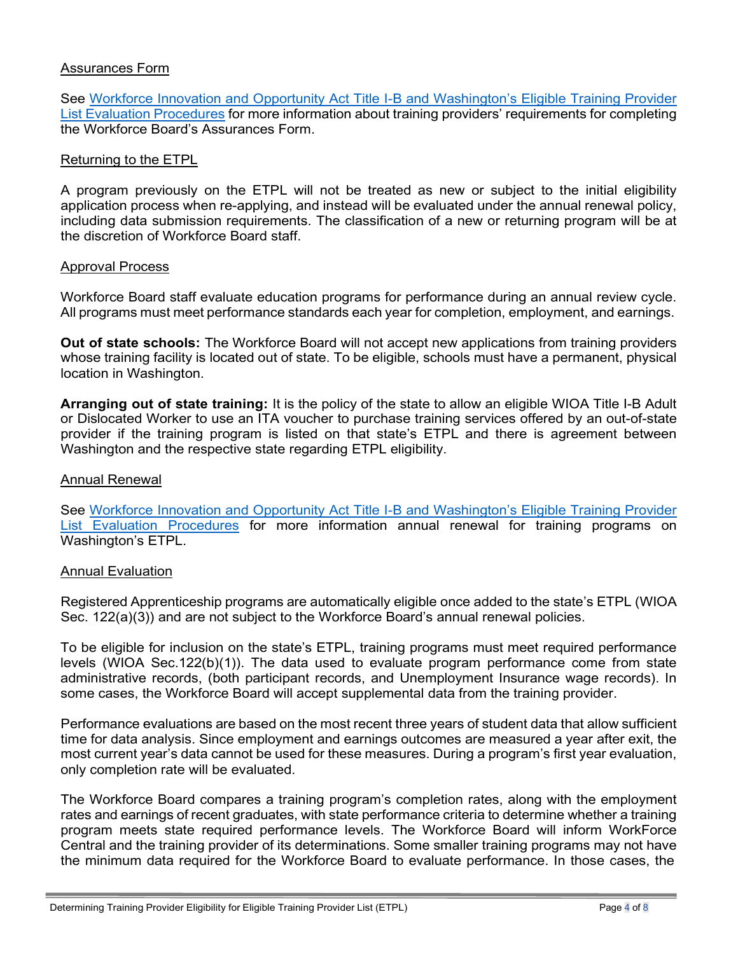## Assurances Form

See [Workforce Innovation and Opportunity Act Title I-B and Washington's Eligible Training Provider](https://www.wtb.wa.gov/wp-content/uploads/2021/06/2021-ETP-State-Policy-final-060221.pdf) List Evaluation [Procedures](https://www.wtb.wa.gov/wp-content/uploads/2021/06/2021-ETP-State-Policy-final-060221.pdf) for more information about training providers' requirements for completing the Workforce Board's Assurances Form.

#### Returning to the ETPL

A program previously on the ETPL will not be treated as new or subject to the initial eligibility application process when re-applying, and instead will be evaluated under the annual renewal policy, including data submission requirements. The classification of a new or returning program will be at the discretion of Workforce Board staff.

#### Approval Process

Workforce Board staff evaluate education programs for performance during an annual review cycle. All programs must meet performance standards each year for completion, employment, and earnings.

**Out of state schools:** The Workforce Board will not accept new applications from training providers whose training facility is located out of state. To be eligible, schools must have a permanent, physical location in Washington.

**Arranging out of state training:** It is the policy of the state to allow an eligible WIOA Title I-B Adult or Dislocated Worker to use an ITA voucher to purchase training services offered by an out-of-state provider if the training program is listed on that state's ETPL and there is agreement between Washington and the respective state regarding ETPL eligibility.

#### Annual Renewal

See [Workforce Innovation and Opportunity Act Title I-B and Washington's Eligible Training Provider](https://www.wtb.wa.gov/wp-content/uploads/2021/06/2021-ETP-State-Policy-final-060221.pdf) List Evaluation [Procedures](https://www.wtb.wa.gov/wp-content/uploads/2021/06/2021-ETP-State-Policy-final-060221.pdf) for more information annual renewal for training programs on Washington's ETPL.

### Annual Evaluation

Registered Apprenticeship programs are automatically eligible once added to the state's ETPL (WIOA Sec. 122(a)(3)) and are not subject to the Workforce Board's annual renewal policies.

To be eligible for inclusion on the state's ETPL, training programs must meet required performance levels (WIOA Sec.122(b)(1)). The data used to evaluate program performance come from state administrative records, (both participant records, and Unemployment Insurance wage records). In some cases, the Workforce Board will accept supplemental data from the training provider.

Performance evaluations are based on the most recent three years of student data that allow sufficient time for data analysis. Since employment and earnings outcomes are measured a year after exit, the most current year's data cannot be used for these measures. During a program's first year evaluation, only completion rate will be evaluated.

The Workforce Board compares a training program's completion rates, along with the employment rates and earnings of recent graduates, with state performance criteria to determine whether a training program meets state required performance levels. The Workforce Board will inform WorkForce Central and the training provider of its determinations. Some smaller training programs may not have the minimum data required for the Workforce Board to evaluate performance. In those cases, the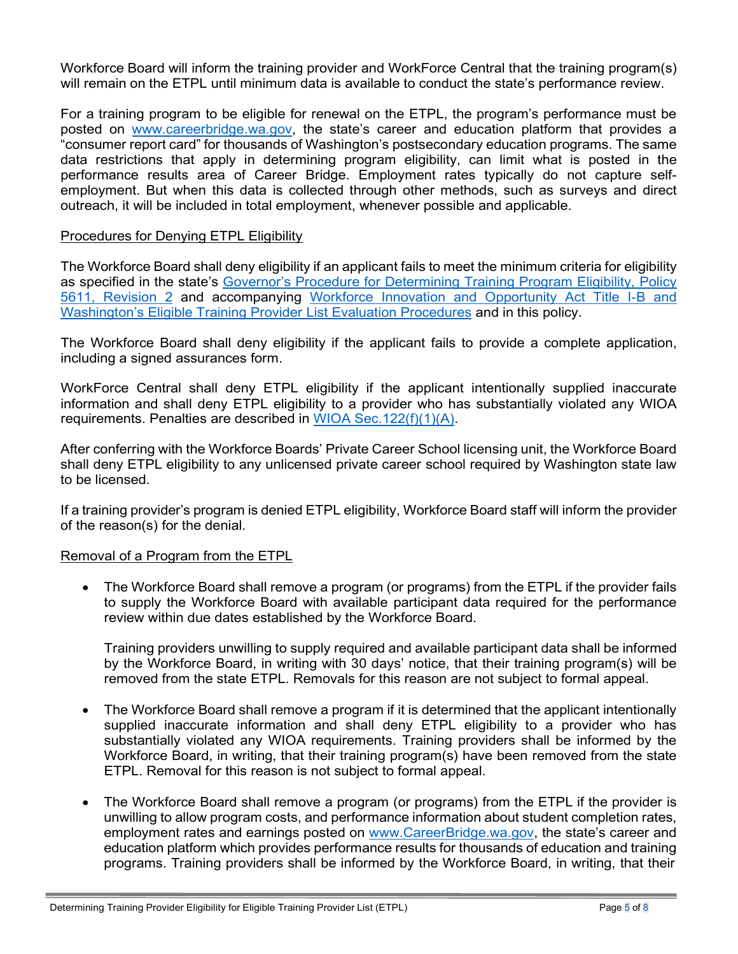Workforce Board will inform the training provider and WorkForce Central that the training program(s) will remain on the ETPL until minimum data is available to conduct the state's performance review.

For a training program to be eligible for renewal on the ETPL, the program's performance must be posted on [www.careerbridge.wa.gov,](http://www.careerbridge.wa.gov/) the state's career and education platform that provides a "consumer report card" for thousands of Washington's postsecondary education programs. The same data restrictions that apply in determining program eligibility, can limit what is posted in the performance results area of Career Bridge. Employment rates typically do not capture selfemployment. But when this data is collected through other methods, such as surveys and direct outreach, it will be included in total employment, whenever possible and applicable.

## Procedures for Denying ETPL Eligibility

The Workforce Board shall deny eligibility if an applicant fails to meet the minimum criteria for eligibility as specified in the state's [Governor's Procedure for Determining Training Program Eligibility, Policy](https://storemultisites.blob.core.windows.net/media/WPC/adm/policy/5611-2.pdf) 5611, [Revision](https://storemultisites.blob.core.windows.net/media/WPC/adm/policy/5611-2.pdf) 2 and accompanying Workforce Innovation and [Opportunity](https://www.wtb.wa.gov/wp-content/uploads/2021/06/2021-ETP-State-Policy-final-060221.pdf) Act Title I-B and Washington's Eligible Training Provider [List Evaluation](https://www.wtb.wa.gov/wp-content/uploads/2021/06/2021-ETP-State-Policy-final-060221.pdf) Procedures and in this policy.

The Workforce Board shall deny eligibility if the applicant fails to provide a complete application, including a signed assurances form.

WorkForce Central shall deny ETPL eligibility if the applicant intentionally supplied inaccurate information and shall deny ETPL eligibility to a provider who has substantially violated any WIOA requirements. Penalties are described in [WIOA Sec.122\(f\)\(1\)\(A\).](https://www.congress.gov/113/bills/hr803/BILLS-113hr803enr.pdf)

After conferring with the Workforce Boards' Private Career School licensing unit, the Workforce Board shall deny ETPL eligibility to any unlicensed private career school required by Washington state law to be licensed.

If a training provider's program is denied ETPL eligibility, Workforce Board staff will inform the provider of the reason(s) for the denial.

## Removal of a Program from the ETPL

• The Workforce Board shall remove a program (or programs) from the ETPL if the provider fails to supply the Workforce Board with available participant data required for the performance review within due dates established by the Workforce Board.

Training providers unwilling to supply required and available participant data shall be informed by the Workforce Board, in writing with 30 days' notice, that their training program(s) will be removed from the state ETPL. Removals for this reason are not subject to formal appeal.

- The Workforce Board shall remove a program if it is determined that the applicant intentionally supplied inaccurate information and shall deny ETPL eligibility to a provider who has substantially violated any WIOA requirements. Training providers shall be informed by the Workforce Board, in writing, that their training program(s) have been removed from the state ETPL. Removal for this reason is not subject to formal appeal.
- The Workforce Board shall remove a program (or programs) from the ETPL if the provider is unwilling to allow program costs, and performance information about student completion rates, employment rates and earnings posted on [www.CareerBridge.wa.gov,](http://www.careerbridge.wa.gov/) the state's career and education platform which provides performance results for thousands of education and training programs. Training providers shall be informed by the Workforce Board, in writing, that their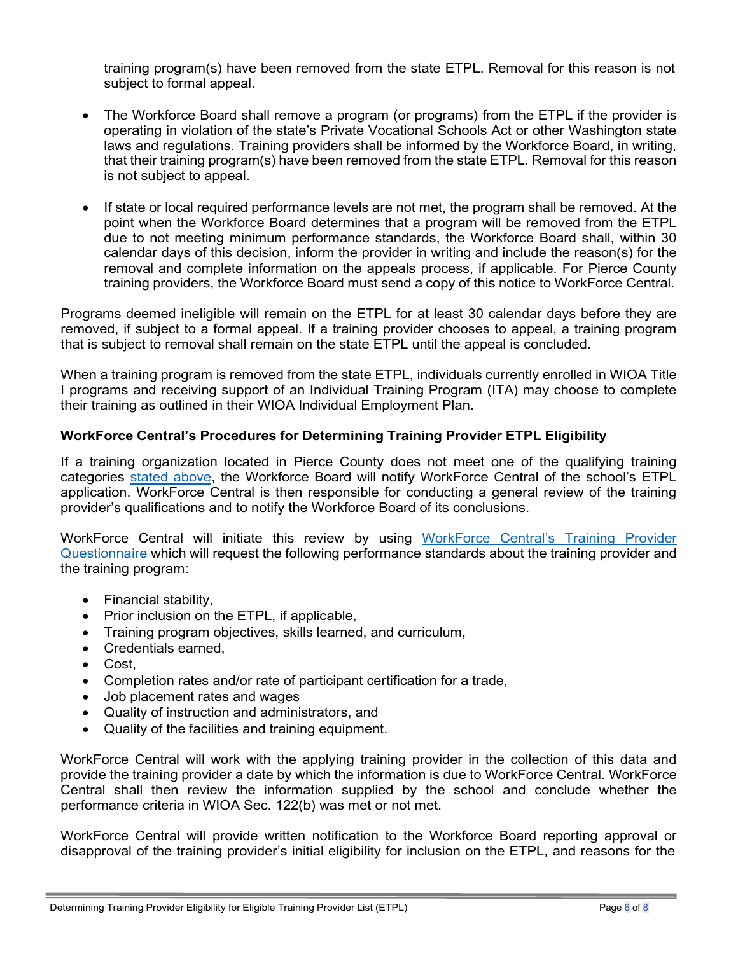<span id="page-5-0"></span>training program(s) have been removed from the state ETPL. Removal for this reason is not subject to formal appeal.

- The Workforce Board shall remove a program (or programs) from the ETPL if the provider is operating in violation of the state's Private Vocational Schools Act or other Washington state laws and regulations. Training providers shall be informed by the Workforce Board, in writing, that their training program(s) have been removed from the state ETPL. Removal for this reason is not subject to appeal.
- If state or local required performance levels are not met, the program shall be removed. At the point when the Workforce Board determines that a program will be removed from the ETPL due to not meeting minimum performance standards, the Workforce Board shall, within 30 calendar days of this decision, inform the provider in writing and include the reason(s) for the removal and complete information on the appeals process, if applicable. For Pierce County training providers, the Workforce Board must send a copy of this notice to WorkForce Central.

Programs deemed ineligible will remain on the ETPL for at least 30 calendar days before they are removed, if subject to a formal appeal. If a training provider chooses to appeal, a training program that is subject to removal shall remain on the state ETPL until the appeal is concluded.

When a training program is removed from the state ETPL, individuals currently enrolled in WIOA Title I programs and receiving support of an Individual Training Program (ITA) may choose to complete their training as outlined in their WIOA Individual Employment Plan.

# <span id="page-5-1"></span>**WorkForce Central's Procedures for Determining Training Provider ETPL Eligibility**

If a training organization located in Pierce County does not meet one of the qualifying training categories [s](#page-2-0)[tated above,](#page-2-1) the Workforce Board will notify WorkForce Central of the school's ETPL application. WorkForce Central is then responsible for conducting a general review of the training provider's qualifications and to notify the Workforce Board of its conclusions.

WorkForce Central will initiate this review by using [WorkForce](https://workforce-central.org/wp-content/uploads/2021/08/wfc-etpl-training-provider-eligibility-questionnaire.pdf) Central's Training Provider [Questionnaire](https://workforce-central.org/wp-content/uploads/2021/08/wfc-etpl-training-provider-eligibility-questionnaire.pdf) which will request the following performance standards about the training provider and the training program:

- Financial stability,
- Prior inclusion on the ETPL, if applicable,
- Training program objectives, skills learned, and curriculum,
- Credentials earned,
- Cost.
- Completion rates and/or rate of participant certification for a trade,
- Job placement rates and wages
- Quality of instruction and administrators, and
- Quality of the facilities and training equipment.

WorkForce Central will work with the applying training provider in the collection of this data and provide the training provider a date by which the information is due to WorkForce Central. WorkForce Central shall then review the information supplied by the school and conclude whether the performance criteria in WIOA Sec. 122(b) was met or not met.

WorkForce Central will provide written notification to the Workforce Board reporting approval or disapproval of the training provider's initial eligibility for inclusion on the ETPL, and reasons for the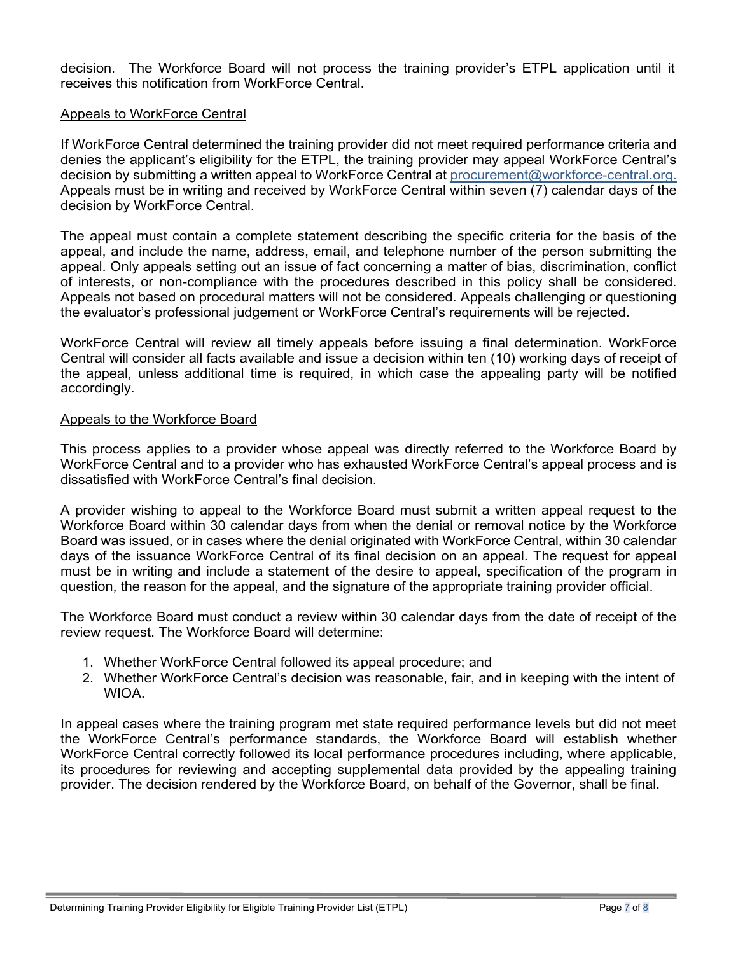decision. The Workforce Board will not process the training provider's ETPL application until it receives this notification from WorkForce Central.

### Appeals to WorkForce Central

If WorkForce Central determined the training provider did not meet required performance criteria and denies the applicant's eligibility for the ETPL, the training provider may appeal WorkForce Central's decision by submitting a written appeal to WorkForce Central at [procurement@workforce-central.org.](mailto:procurement@workforce-central.org) Appeals must be in writing and received by WorkForce Central within seven (7) calendar days of the decision by WorkForce Central.

The appeal must contain a complete statement describing the specific criteria for the basis of the appeal, and include the name, address, email, and telephone number of the person submitting the appeal. Only appeals setting out an issue of fact concerning a matter of bias, discrimination, conflict of interests, or non-compliance with the procedures described in this policy shall be considered. Appeals not based on procedural matters will not be considered. Appeals challenging or questioning the evaluator's professional judgement or WorkForce Central's requirements will be rejected.

WorkForce Central will review all timely appeals before issuing a final determination. WorkForce Central will consider all facts available and issue a decision within ten (10) working days of receipt of the appeal, unless additional time is required, in which case the appealing party will be notified accordingly.

## Appeals to the Workforce Board

This process applies to a provider whose appeal was directly referred to the Workforce Board by WorkForce Central and to a provider who has exhausted WorkForce Central's appeal process and is dissatisfied with WorkForce Central's final decision.

A provider wishing to appeal to the Workforce Board must submit a written appeal request to the Workforce Board within 30 calendar days from when the denial or removal notice by the Workforce Board was issued, or in cases where the denial originated with WorkForce Central, within 30 calendar days of the issuance WorkForce Central of its final decision on an appeal. The request for appeal must be in writing and include a statement of the desire to appeal, specification of the program in question, the reason for the appeal, and the signature of the appropriate training provider official.

The Workforce Board must conduct a review within 30 calendar days from the date of receipt of the review request. The Workforce Board will determine:

- 1. Whether WorkForce Central followed its appeal procedure; and
- 2. Whether WorkForce Central's decision was reasonable, fair, and in keeping with the intent of WIOA.

In appeal cases where the training program met state required performance levels but did not meet the WorkForce Central's performance standards, the Workforce Board will establish whether WorkForce Central correctly followed its local performance procedures including, where applicable, its procedures for reviewing and accepting supplemental data provided by the appealing training provider. The decision rendered by the Workforce Board, on behalf of the Governor, shall be final.